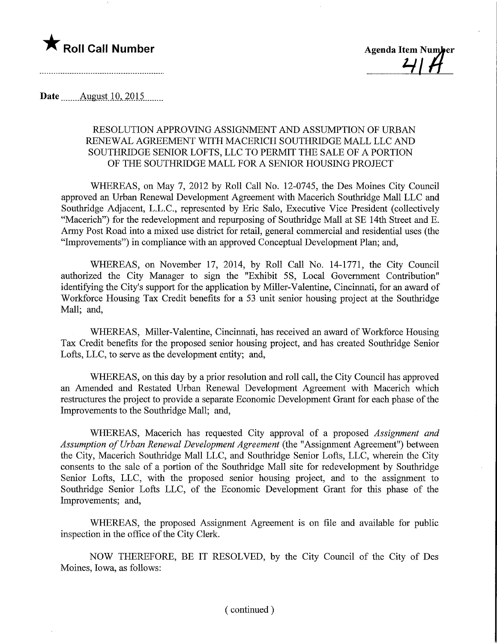

Roll Call Number Agenda Item Number<br>
2114

Date ........August. 10,.2Q15.

## RESOLUTION APPROVING ASSIGNMENT AND ASSUMPTION OF URBAN RENEWAL AGREEMENT WITH MACERICH SOUTHRIDGE MALL LLC AND SOUTHRIDGE SENIOR LOFTS, LLC TO PERMIT THE SALE OF A PORTION OF THE SOUTHRIDGE MALL FOR A SENIOR HOUSING PROJECT

WHEREAS, on May 7, 2012 by Roll Call No. 12-0745, the Des Moines City Council approved an Urban Renewal Development Agreement with Macerich Southridge Mall LLC and Southridge Adjacent, L.L.C., represented by Eric Salo, Executive Vice President (collectively "Macerich") for the redevelopment and repurposing of Southridge Mall at SE 14th Street and E. Army Post Road into a mixed use district for retail, general commercial and residential uses (the "Improvements") in compliance with an approved Conceptual Development Plan; and,

WHEREAS, on November 17, 2014, by Roll Call No. 14-1771, the City Council authorized the City Manager to sign the "Exhibit 5S, Local Government Contribution" identifying the City's support for the application by Miller-Valentine, Cincinnati, for an award of Workforce Housing Tax Credit benefits for a 53 unit senior housing project at the Southridge Mall; and,

WHEREAS, Miller-Valentine, Cincinnati, has received an award of Workforce Housing Tax Credit benefits for the proposed senior housing project, and has created Southridge Senior Lofts, LLC, to serve as the development entity; and,

WHEREAS, on this day by a prior resolution and roll call, the City Council has approved an Amended and Restated Urban Renewal Development Agreement with Macerich which restructures the project to provide a separate Economic Development Grant for each phase of the Improvements to the Southridge Mall; and,

WHEREAS, Macerich has requested City approval of a proposed Assignment and Assumption of Urban Renewal Development Agreement (the "Assignment Agreement") between the City, Macerich Southridge Mail LLC, and Southridge Senior Lofts, LLC, wherein the City consents to the sale of a portion of the Southridge Mail site for redevelopment by Southridge Senior Lofts, LLC, with the proposed senior housing project, and to the assignment to Southridge Senior Lofts LLC, of the Economic Development Grant for this phase of the Improvements; and,

WHEREAS, the proposed Assignment Agreement is on file and available for public inspection in the office of the City Clerk.

NOW THEREFORE, BE IT RESOLVED, by the City Council of the City of Des Moines, Iowa, as follows: